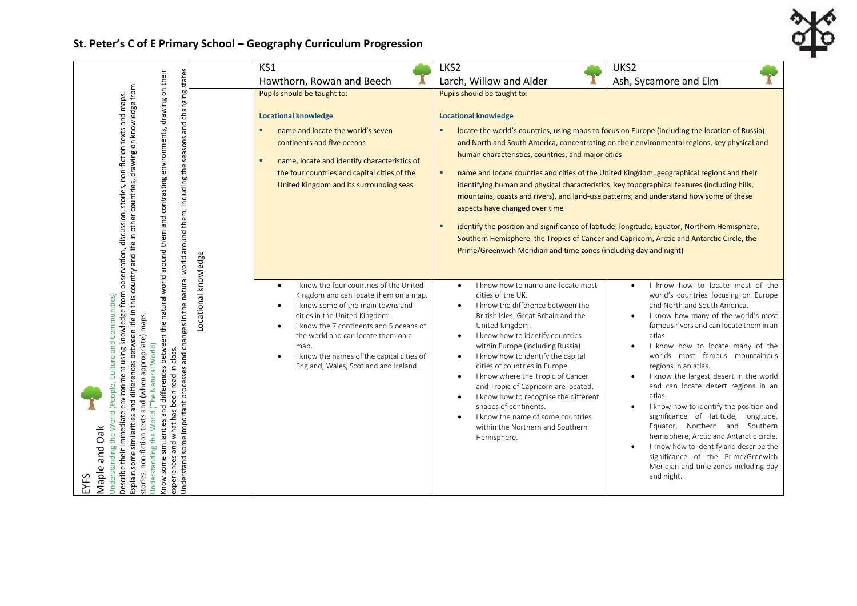## **St. Peter's C of E Primary School – Geography Curriculum Progression**

|                                                                                                                                                                                                                                                                                                                                                                                                                                                                                                                                                                                                                                                          |                         | KS1                                                                                                                                                                                                                                                                                                                                                                                       | LKS2                                                                                                                                                                                                                                                                                                                                                                                                                                                                                                                                                                                                                          | UKS2                                                                                                                                                                                                                                                                                                                                                                                                                                                                                                                                                                                                                                                                                                                                          |
|----------------------------------------------------------------------------------------------------------------------------------------------------------------------------------------------------------------------------------------------------------------------------------------------------------------------------------------------------------------------------------------------------------------------------------------------------------------------------------------------------------------------------------------------------------------------------------------------------------------------------------------------------------|-------------------------|-------------------------------------------------------------------------------------------------------------------------------------------------------------------------------------------------------------------------------------------------------------------------------------------------------------------------------------------------------------------------------------------|-------------------------------------------------------------------------------------------------------------------------------------------------------------------------------------------------------------------------------------------------------------------------------------------------------------------------------------------------------------------------------------------------------------------------------------------------------------------------------------------------------------------------------------------------------------------------------------------------------------------------------|-----------------------------------------------------------------------------------------------------------------------------------------------------------------------------------------------------------------------------------------------------------------------------------------------------------------------------------------------------------------------------------------------------------------------------------------------------------------------------------------------------------------------------------------------------------------------------------------------------------------------------------------------------------------------------------------------------------------------------------------------|
| states                                                                                                                                                                                                                                                                                                                                                                                                                                                                                                                                                                                                                                                   |                         | Hawthorn, Rowan and Beech                                                                                                                                                                                                                                                                                                                                                                 | Larch, Willow and Alder                                                                                                                                                                                                                                                                                                                                                                                                                                                                                                                                                                                                       | Ash, Sycamore and Elm                                                                                                                                                                                                                                                                                                                                                                                                                                                                                                                                                                                                                                                                                                                         |
| drawing on knowledge from<br>and changes in the natural world around them, including the seasons and changing<br>and maps.<br>non-fiction texts<br>countries,<br>stories,<br>discussion,<br>and life in other                                                                                                                                                                                                                                                                                                                                                                                                                                            |                         | Pupils should be taught to:<br><b>Locational knowledge</b><br>name and locate the world's seven<br>٠<br>continents and five oceans<br>name, locate and identify characteristics of<br>×<br>the four countries and capital cities of the<br>United Kingdom and its surrounding seas                                                                                                        | Pupils should be taught to:<br><b>Locational knowledge</b><br>human characteristics, countries, and major cities<br>٠<br>identifying human and physical characteristics, key topographical features (including hills,<br>mountains, coasts and rivers), and land-use patterns; and understand how some of these<br>aspects have changed over time<br>٠<br>Prime/Greenwich Meridian and time zones (including day and night)                                                                                                                                                                                                   | locate the world's countries, using maps to focus on Europe (including the location of Russia)<br>and North and South America, concentrating on their environmental regions, key physical and<br>name and locate counties and cities of the United Kingdom, geographical regions and their<br>identify the position and significance of latitude, longitude, Equator, Northern Hemisphere,<br>Southern Hemisphere, the Tropics of Cancer and Capricorn, Arctic and Antarctic Circle, the                                                                                                                                                                                                                                                      |
| tnow some similarities and differences between the natural world around them and contrasting environments, drawing on their<br>knowledge from observation,<br>between life in this country<br>Culture and Communities)<br>(when appropriate) maps<br>Inderstanding the World (The Natural World)<br>environment using<br>and what has been read in class.<br>differences<br>some important processes<br>(People,<br>and<br>pue<br>the World<br>immediate<br>similarities<br>non-fiction texts<br>Oak<br>Jnderstanding<br>and<br>Describe their<br>$\pmb{\mathsf{v}}$<br>experiences<br><b>Jnderstand</b><br>som<br>Maple a<br>inaplax<br>tories,<br>EYF. | cational knowledge<br>으 | I know the four countries of the United<br>$\bullet$<br>Kingdom and can locate them on a map.<br>I know some of the main towns and<br>$\bullet$<br>cities in the United Kingdom.<br>I know the 7 continents and 5 oceans of<br>$\bullet$<br>the world and can locate them on a<br>map.<br>I know the names of the capital cities of<br>$\bullet$<br>England, Wales, Scotland and Ireland. | I know how to name and locate most<br>$\bullet$<br>cities of the UK.<br>I know the difference between the<br>British Isles, Great Britain and the<br>United Kingdom.<br>I know how to identify countries<br>$\bullet$<br>within Europe (including Russia).<br>I know how to identify the capital<br>$\bullet$<br>cities of countries in Europe.<br>I know where the Tropic of Cancer<br>$\bullet$<br>and Tropic of Capricorn are located.<br>I know how to recognise the different<br>$\bullet$<br>shapes of continents.<br>I know the name of some countries<br>$\bullet$<br>within the Northern and Southern<br>Hemisphere. | I know how to locate most of the<br>$\bullet$<br>world's countries focusing on Europe<br>and North and South America.<br>I know how many of the world's most<br>famous rivers and can locate them in an<br>atlas.<br>I know how to locate many of the<br>worlds most famous mountainous<br>regions in an atlas.<br>I know the largest desert in the world<br>and can locate desert regions in an<br>atlas.<br>I know how to identify the position and<br>$\bullet$<br>significance of latitude, longitude,<br>Equator, Northern and Southern<br>hemisphere, Arctic and Antarctic circle.<br>I know how to identify and describe the<br>$\bullet$<br>significance of the Prime/Grenwich<br>Meridian and time zones including day<br>and night. |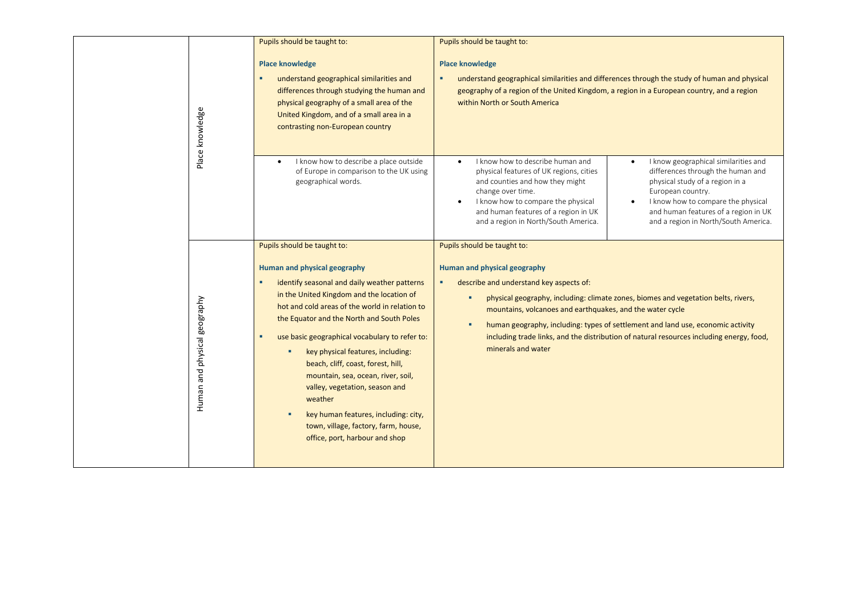|                              | Pupils should be taught to:                                                                                                                                                                                                                                                                                                                                                                                                                                                                                                                                                                                          | Pupils should be taught to:                                                                                                                                                                                                                                                                                                                                                                                                                                                                                                       |  |
|------------------------------|----------------------------------------------------------------------------------------------------------------------------------------------------------------------------------------------------------------------------------------------------------------------------------------------------------------------------------------------------------------------------------------------------------------------------------------------------------------------------------------------------------------------------------------------------------------------------------------------------------------------|-----------------------------------------------------------------------------------------------------------------------------------------------------------------------------------------------------------------------------------------------------------------------------------------------------------------------------------------------------------------------------------------------------------------------------------------------------------------------------------------------------------------------------------|--|
| Place knowledge              | <b>Place knowledge</b><br>understand geographical similarities and<br>٠<br>differences through studying the human and<br>physical geography of a small area of the<br>United Kingdom, and of a small area in a<br>contrasting non-European country                                                                                                                                                                                                                                                                                                                                                                   | <b>Place knowledge</b><br>understand geographical similarities and differences through the study of human and physical<br>٠<br>geography of a region of the United Kingdom, a region in a European country, and a region<br>within North or South America                                                                                                                                                                                                                                                                         |  |
|                              | I know how to describe a place outside<br>of Europe in comparison to the UK using<br>geographical words.                                                                                                                                                                                                                                                                                                                                                                                                                                                                                                             | I know geographical similarities and<br>I know how to describe human and<br>$\bullet$<br>physical features of UK regions, cities<br>differences through the human and<br>and counties and how they might<br>physical study of a region in a<br>change over time.<br>European country.<br>I know how to compare the physical<br>I know how to compare the physical<br>and human features of a region in UK<br>and human features of a region in UK<br>and a region in North/South America.<br>and a region in North/South America. |  |
| Human and physical geography | Pupils should be taught to:<br><b>Human and physical geography</b><br>identify seasonal and daily weather patterns<br>٠<br>in the United Kingdom and the location of<br>hot and cold areas of the world in relation to<br>the Equator and the North and South Poles<br>use basic geographical vocabulary to refer to:<br>٠<br>key physical features, including:<br>٠<br>beach, cliff, coast, forest, hill,<br>mountain, sea, ocean, river, soil,<br>valley, vegetation, season and<br>weather<br>key human features, including: city,<br>٠<br>town, village, factory, farm, house,<br>office, port, harbour and shop | Pupils should be taught to:<br><b>Human and physical geography</b><br>describe and understand key aspects of:<br>٠<br>physical geography, including: climate zones, biomes and vegetation belts, rivers,<br>٠<br>mountains, volcanoes and earthquakes, and the water cycle<br>human geography, including: types of settlement and land use, economic activity<br>٠<br>including trade links, and the distribution of natural resources including energy, food,<br>minerals and water                                              |  |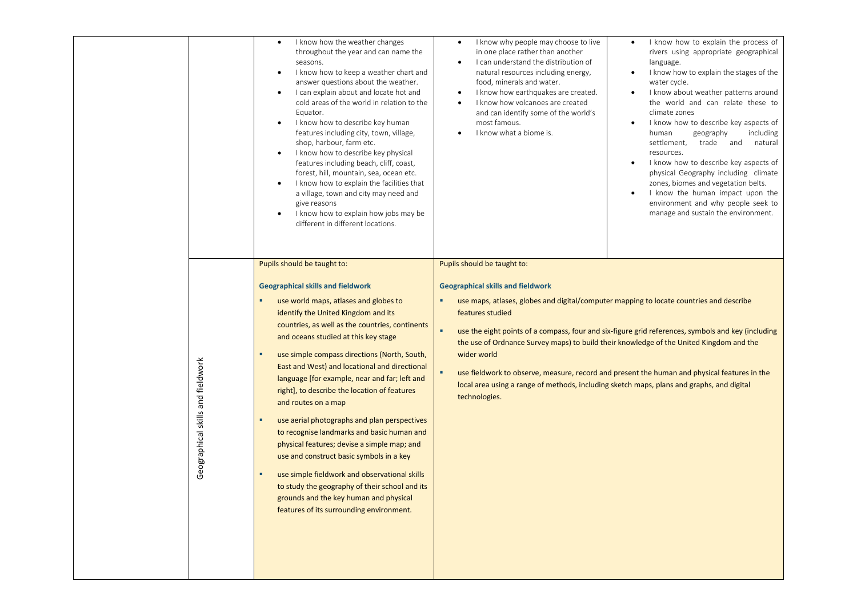|                                   | I know how the weather changes<br>$\bullet$<br>throughout the year and can name the<br>seasons.<br>I know how to keep a weather chart and<br>$\bullet$<br>answer questions about the weather.<br>I can explain about and locate hot and<br>$\bullet$<br>cold areas of the world in relation to the<br>Equator.<br>I know how to describe key human<br>$\bullet$<br>features including city, town, village,<br>shop, harbour, farm etc.<br>I know how to describe key physical<br>features including beach, cliff, coast,<br>forest, hill, mountain, sea, ocean etc.<br>I know how to explain the facilities that<br>$\bullet$<br>a village, town and city may need and<br>give reasons<br>I know how to explain how jobs may be<br>different in different locations.                                                                                                         | I know why people may choose to live<br>$\bullet$<br>in one place rather than another<br>I can understand the distribution of<br>$\bullet$<br>natural resources including energy,<br>food, minerals and water.<br>I know how earthquakes are created.<br>$\bullet$<br>I know how volcanoes are created<br>$\bullet$<br>and can identify some of the world's<br>most famous.<br>I know what a biome is. | I know how to explain the process of<br>$\bullet$<br>rivers using appropriate geographical<br>language.<br>I know how to explain the stages of the<br>$\bullet$<br>water cycle.<br>I know about weather patterns around<br>$\bullet$<br>the world and can relate these to<br>climate zones<br>I know how to describe key aspects of<br>٠<br>geography<br>including<br>human<br>trade and<br>settlement,<br>natural<br>resources.<br>I know how to describe key aspects of<br>$\bullet$<br>physical Geography including climate<br>zones, biomes and vegetation belts.<br>I know the human impact upon the<br>$\bullet$<br>environment and why people seek to<br>manage and sustain the environment. |
|-----------------------------------|------------------------------------------------------------------------------------------------------------------------------------------------------------------------------------------------------------------------------------------------------------------------------------------------------------------------------------------------------------------------------------------------------------------------------------------------------------------------------------------------------------------------------------------------------------------------------------------------------------------------------------------------------------------------------------------------------------------------------------------------------------------------------------------------------------------------------------------------------------------------------|--------------------------------------------------------------------------------------------------------------------------------------------------------------------------------------------------------------------------------------------------------------------------------------------------------------------------------------------------------------------------------------------------------|-----------------------------------------------------------------------------------------------------------------------------------------------------------------------------------------------------------------------------------------------------------------------------------------------------------------------------------------------------------------------------------------------------------------------------------------------------------------------------------------------------------------------------------------------------------------------------------------------------------------------------------------------------------------------------------------------------|
| Geographical skills and fieldwork | Pupils should be taught to:<br><b>Geographical skills and fieldwork</b><br>use world maps, atlases and globes to<br>٠<br>identify the United Kingdom and its<br>countries, as well as the countries, continents<br>and oceans studied at this key stage<br>use simple compass directions (North, South,<br>East and West) and locational and directional<br>language [for example, near and far; left and<br>right], to describe the location of features<br>and routes on a map<br>use aerial photographs and plan perspectives<br>٠<br>to recognise landmarks and basic human and<br>physical features; devise a simple map; and<br>use and construct basic symbols in a key<br>use simple fieldwork and observational skills<br>٠<br>to study the geography of their school and its<br>grounds and the key human and physical<br>features of its surrounding environment. | Pupils should be taught to:<br><b>Geographical skills and fieldwork</b><br>use maps, atlases, globes and digital/computer mapping to locate countries and describe<br>features studied<br>٠<br>wider world<br>٠<br>local area using a range of methods, including sketch maps, plans and graphs, and digital<br>technologies.                                                                          | use the eight points of a compass, four and six-figure grid references, symbols and key (including<br>the use of Ordnance Survey maps) to build their knowledge of the United Kingdom and the<br>use fieldwork to observe, measure, record and present the human and physical features in the                                                                                                                                                                                                                                                                                                                                                                                                       |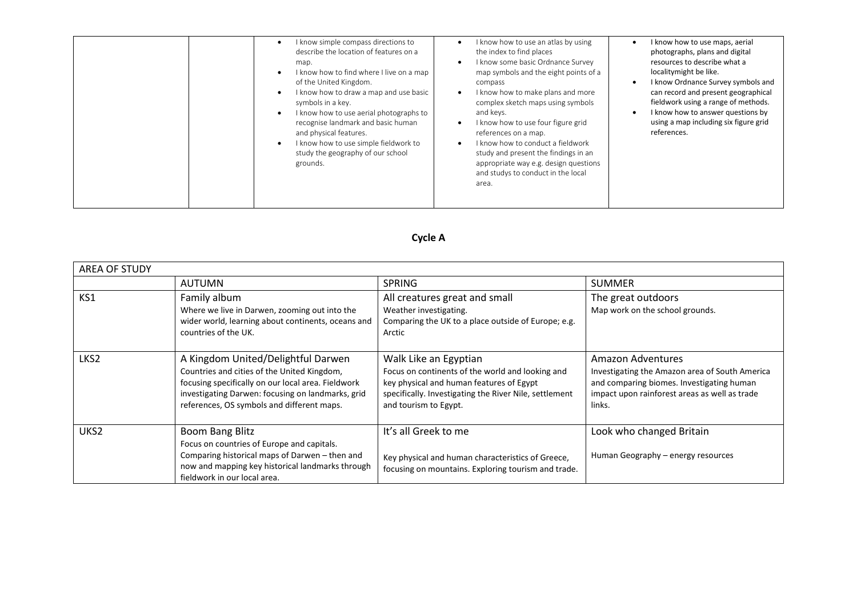| I know simple compass directions to<br>$\bullet$<br>describe the location of features on a<br>map.<br>I know how to find where I live on a map<br>of the United Kingdom.<br>I know how to draw a map and use basic<br>symbols in a key.<br>I know how to use aerial photographs to<br>$\bullet$<br>recognise landmark and basic human<br>and physical features.<br>I know how to use simple fieldwork to<br>study the geography of our school<br>grounds. | I know how to use an atlas by using<br>$\bullet$<br>the index to find places<br>I know some basic Ordnance Survey<br>$\bullet$<br>map symbols and the eight points of a<br>compass<br>I know how to make plans and more<br>$\bullet$<br>complex sketch maps using symbols<br>and keys.<br>I know how to use four figure grid<br>$\bullet$<br>references on a map.<br>know how to conduct a fieldwork<br>study and present the findings in an<br>appropriate way e.g. design questions<br>and studys to conduct in the local<br>area. | I know how to use maps, aerial<br>photographs, plans and digital<br>resources to describe what a<br>localitymight be like.<br>I know Ordnance Survey symbols and<br>can record and present geographical<br>fieldwork using a range of methods.<br>I know how to answer questions by<br>using a map including six figure grid<br>references. |
|-----------------------------------------------------------------------------------------------------------------------------------------------------------------------------------------------------------------------------------------------------------------------------------------------------------------------------------------------------------------------------------------------------------------------------------------------------------|--------------------------------------------------------------------------------------------------------------------------------------------------------------------------------------------------------------------------------------------------------------------------------------------------------------------------------------------------------------------------------------------------------------------------------------------------------------------------------------------------------------------------------------|---------------------------------------------------------------------------------------------------------------------------------------------------------------------------------------------------------------------------------------------------------------------------------------------------------------------------------------------|
|-----------------------------------------------------------------------------------------------------------------------------------------------------------------------------------------------------------------------------------------------------------------------------------------------------------------------------------------------------------------------------------------------------------------------------------------------------------|--------------------------------------------------------------------------------------------------------------------------------------------------------------------------------------------------------------------------------------------------------------------------------------------------------------------------------------------------------------------------------------------------------------------------------------------------------------------------------------------------------------------------------------|---------------------------------------------------------------------------------------------------------------------------------------------------------------------------------------------------------------------------------------------------------------------------------------------------------------------------------------------|

## **Cycle A**

| <b>AREA OF STUDY</b> |                                                                                                                                                                                                                                            |                                                                                                                                                                                                          |                                                                                                                                                                             |
|----------------------|--------------------------------------------------------------------------------------------------------------------------------------------------------------------------------------------------------------------------------------------|----------------------------------------------------------------------------------------------------------------------------------------------------------------------------------------------------------|-----------------------------------------------------------------------------------------------------------------------------------------------------------------------------|
|                      | <b>AUTUMN</b>                                                                                                                                                                                                                              | <b>SPRING</b>                                                                                                                                                                                            | <b>SUMMER</b>                                                                                                                                                               |
| KS1                  | Family album<br>Where we live in Darwen, zooming out into the<br>wider world, learning about continents, oceans and<br>countries of the UK.                                                                                                | All creatures great and small<br>Weather investigating.<br>Comparing the UK to a place outside of Europe; e.g.<br>Arctic                                                                                 | The great outdoors<br>Map work on the school grounds.                                                                                                                       |
| LKS <sub>2</sub>     | A Kingdom United/Delightful Darwen<br>Countries and cities of the United Kingdom,<br>focusing specifically on our local area. Fieldwork<br>investigating Darwen: focusing on landmarks, grid<br>references, OS symbols and different maps. | Walk Like an Egyptian<br>Focus on continents of the world and looking and<br>key physical and human features of Egypt<br>specifically. Investigating the River Nile, settlement<br>and tourism to Egypt. | Amazon Adventures<br>Investigating the Amazon area of South America<br>and comparing biomes. Investigating human<br>impact upon rainforest areas as well as trade<br>links. |
| UKS <sub>2</sub>     | Boom Bang Blitz<br>Focus on countries of Europe and capitals.<br>Comparing historical maps of Darwen - then and<br>now and mapping key historical landmarks through<br>fieldwork in our local area.                                        | It's all Greek to me<br>Key physical and human characteristics of Greece,<br>focusing on mountains. Exploring tourism and trade.                                                                         | Look who changed Britain<br>Human Geography - energy resources                                                                                                              |